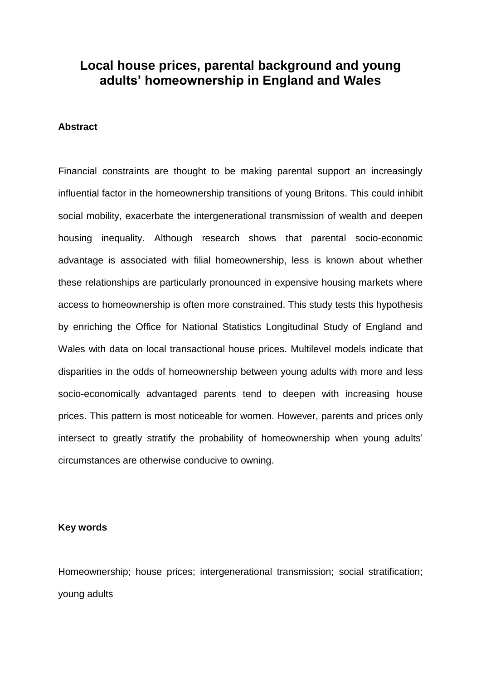## **Local house prices, parental background and young adults' homeownership in England and Wales**

## **Abstract**

Financial constraints are thought to be making parental support an increasingly influential factor in the homeownership transitions of young Britons. This could inhibit social mobility, exacerbate the intergenerational transmission of wealth and deepen housing inequality. Although research shows that parental socio-economic advantage is associated with filial homeownership, less is known about whether these relationships are particularly pronounced in expensive housing markets where access to homeownership is often more constrained. This study tests this hypothesis by enriching the Office for National Statistics Longitudinal Study of England and Wales with data on local transactional house prices. Multilevel models indicate that disparities in the odds of homeownership between young adults with more and less socio-economically advantaged parents tend to deepen with increasing house prices. This pattern is most noticeable for women. However, parents and prices only intersect to greatly stratify the probability of homeownership when young adults' circumstances are otherwise conducive to owning.

## **Key words**

Homeownership; house prices; intergenerational transmission; social stratification; young adults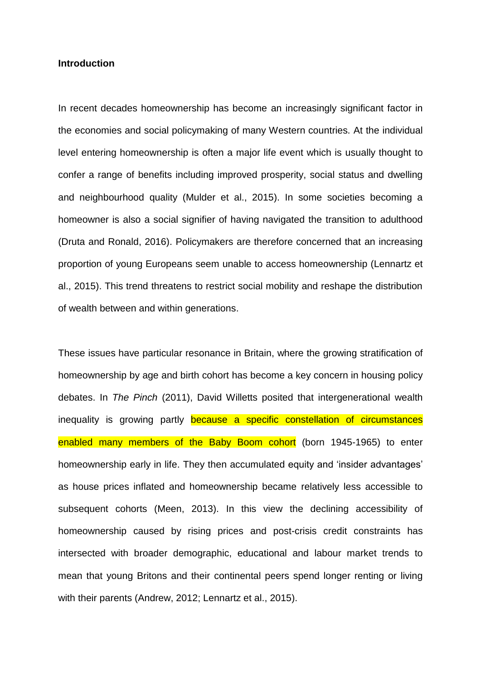## **Introduction**

In recent decades homeownership has become an increasingly significant factor in the economies and social policymaking of many Western countries. At the individual level entering homeownership is often a major life event which is usually thought to confer a range of benefits including improved prosperity, social status and dwelling and neighbourhood quality (Mulder et al., 2015). In some societies becoming a homeowner is also a social signifier of having navigated the transition to adulthood (Druta and Ronald, 2016). Policymakers are therefore concerned that an increasing proportion of young Europeans seem unable to access homeownership (Lennartz et al., 2015). This trend threatens to restrict social mobility and reshape the distribution of wealth between and within generations.

These issues have particular resonance in Britain, where the growing stratification of homeownership by age and birth cohort has become a key concern in housing policy debates. In *The Pinch* (2011), David Willetts posited that intergenerational wealth inequality is growing partly because a specific constellation of circumstances enabled many members of the Baby Boom cohort (born 1945-1965) to enter homeownership early in life. They then accumulated equity and 'insider advantages' as house prices inflated and homeownership became relatively less accessible to subsequent cohorts (Meen, 2013). In this view the declining accessibility of homeownership caused by rising prices and post-crisis credit constraints has intersected with broader demographic, educational and labour market trends to mean that young Britons and their continental peers spend longer renting or living with their parents (Andrew, 2012; Lennartz et al., 2015).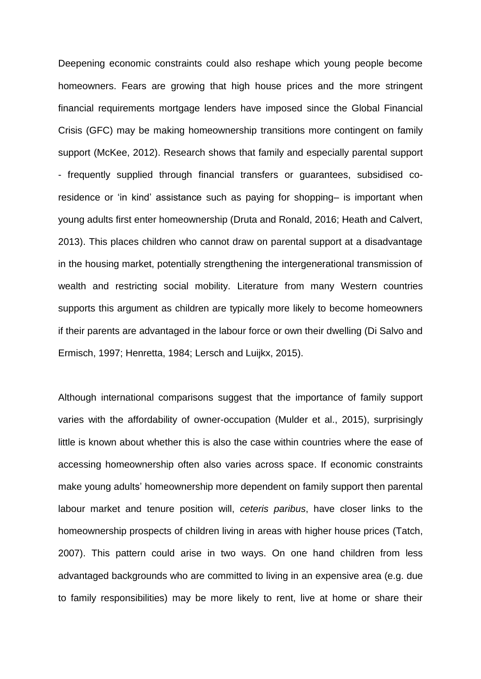Deepening economic constraints could also reshape which young people become homeowners. Fears are growing that high house prices and the more stringent financial requirements mortgage lenders have imposed since the Global Financial Crisis (GFC) may be making homeownership transitions more contingent on family support (McKee, 2012). Research shows that family and especially parental support - frequently supplied through financial transfers or guarantees, subsidised coresidence or 'in kind' assistance such as paying for shopping– is important when young adults first enter homeownership (Druta and Ronald, 2016; Heath and Calvert, 2013). This places children who cannot draw on parental support at a disadvantage in the housing market, potentially strengthening the intergenerational transmission of wealth and restricting social mobility. Literature from many Western countries supports this argument as children are typically more likely to become homeowners if their parents are advantaged in the labour force or own their dwelling (Di Salvo and Ermisch, 1997; Henretta, 1984; Lersch and Luijkx, 2015).

Although international comparisons suggest that the importance of family support varies with the affordability of owner-occupation (Mulder et al., 2015), surprisingly little is known about whether this is also the case within countries where the ease of accessing homeownership often also varies across space. If economic constraints make young adults' homeownership more dependent on family support then parental labour market and tenure position will, *ceteris paribus*, have closer links to the homeownership prospects of children living in areas with higher house prices (Tatch, 2007). This pattern could arise in two ways. On one hand children from less advantaged backgrounds who are committed to living in an expensive area (e.g. due to family responsibilities) may be more likely to rent, live at home or share their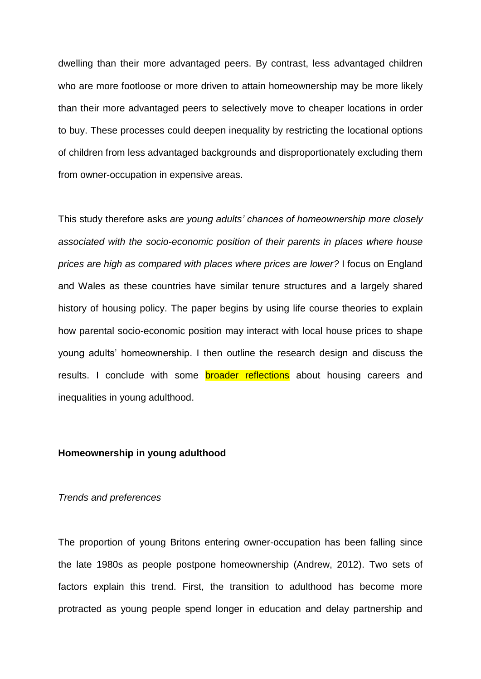dwelling than their more advantaged peers. By contrast, less advantaged children who are more footloose or more driven to attain homeownership may be more likely than their more advantaged peers to selectively move to cheaper locations in order to buy. These processes could deepen inequality by restricting the locational options of children from less advantaged backgrounds and disproportionately excluding them from owner-occupation in expensive areas.

This study therefore asks *are young adults' chances of homeownership more closely associated with the socio-economic position of their parents in places where house prices are high as compared with places where prices are lower?* I focus on England and Wales as these countries have similar tenure structures and a largely shared history of housing policy. The paper begins by using life course theories to explain how parental socio-economic position may interact with local house prices to shape young adults' homeownership. I then outline the research design and discuss the results. I conclude with some **broader reflections** about housing careers and inequalities in young adulthood.

### **Homeownership in young adulthood**

## *Trends and preferences*

The proportion of young Britons entering owner-occupation has been falling since the late 1980s as people postpone homeownership (Andrew, 2012). Two sets of factors explain this trend. First, the transition to adulthood has become more protracted as young people spend longer in education and delay partnership and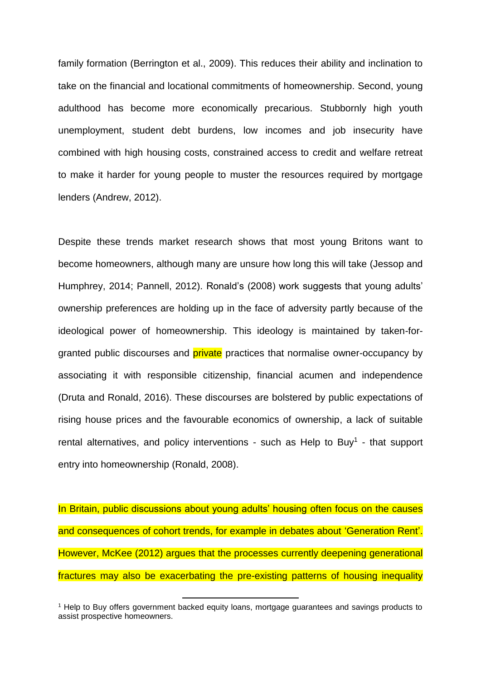family formation (Berrington et al., 2009). This reduces their ability and inclination to take on the financial and locational commitments of homeownership. Second, young adulthood has become more economically precarious. Stubbornly high youth unemployment, student debt burdens, low incomes and job insecurity have combined with high housing costs, constrained access to credit and welfare retreat to make it harder for young people to muster the resources required by mortgage lenders (Andrew, 2012).

Despite these trends market research shows that most young Britons want to become homeowners, although many are unsure how long this will take (Jessop and Humphrey, 2014; Pannell, 2012). Ronald's (2008) work suggests that young adults' ownership preferences are holding up in the face of adversity partly because of the ideological power of homeownership. This ideology is maintained by taken-forgranted public discourses and private practices that normalise owner-occupancy by associating it with responsible citizenship, financial acumen and independence (Druta and Ronald, 2016). These discourses are bolstered by public expectations of rising house prices and the favourable economics of ownership, a lack of suitable rental alternatives, and policy interventions - such as Help to Buy<sup>1</sup> - that support entry into homeownership (Ronald, 2008).

In Britain, public discussions about young adults' housing often focus on the causes and consequences of cohort trends, for example in debates about 'Generation Rent'. However, McKee (2012) argues that the processes currently deepening generational fractures may also be exacerbating the pre-existing patterns of housing inequality

<sup>1</sup> Help to Buy offers government backed equity loans, mortgage guarantees and savings products to assist prospective homeowners.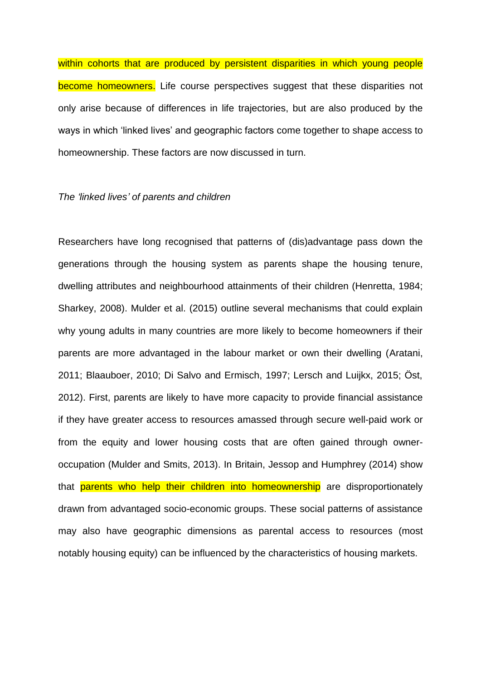within cohorts that are produced by persistent disparities in which young people become homeowners. Life course perspectives suggest that these disparities not only arise because of differences in life trajectories, but are also produced by the ways in which 'linked lives' and geographic factors come together to shape access to homeownership. These factors are now discussed in turn.

#### *The 'linked lives' of parents and children*

Researchers have long recognised that patterns of (dis)advantage pass down the generations through the housing system as parents shape the housing tenure, dwelling attributes and neighbourhood attainments of their children (Henretta, 1984; Sharkey, 2008). Mulder et al. (2015) outline several mechanisms that could explain why young adults in many countries are more likely to become homeowners if their parents are more advantaged in the labour market or own their dwelling (Aratani, 2011; Blaauboer, 2010; Di Salvo and Ermisch, 1997; Lersch and Luijkx, 2015; Öst, 2012). First, parents are likely to have more capacity to provide financial assistance if they have greater access to resources amassed through secure well-paid work or from the equity and lower housing costs that are often gained through owneroccupation (Mulder and Smits, 2013). In Britain, Jessop and Humphrey (2014) show that **parents who help their children into homeownership** are disproportionately drawn from advantaged socio-economic groups. These social patterns of assistance may also have geographic dimensions as parental access to resources (most notably housing equity) can be influenced by the characteristics of housing markets.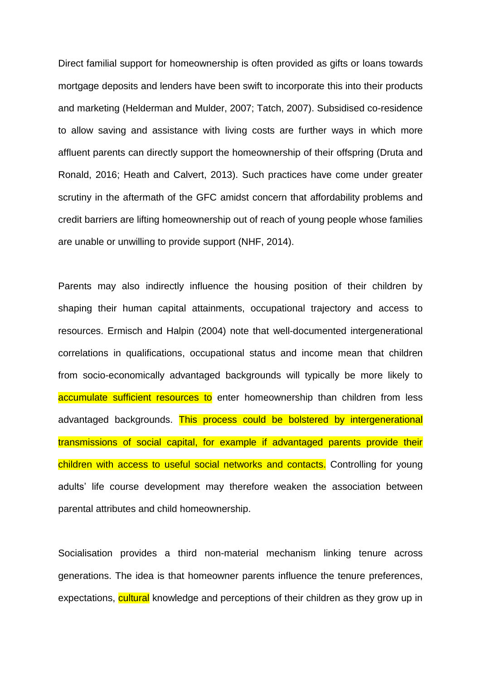Direct familial support for homeownership is often provided as gifts or loans towards mortgage deposits and lenders have been swift to incorporate this into their products and marketing (Helderman and Mulder, 2007; Tatch, 2007). Subsidised co-residence to allow saving and assistance with living costs are further ways in which more affluent parents can directly support the homeownership of their offspring (Druta and Ronald, 2016; Heath and Calvert, 2013). Such practices have come under greater scrutiny in the aftermath of the GFC amidst concern that affordability problems and credit barriers are lifting homeownership out of reach of young people whose families are unable or unwilling to provide support (NHF, 2014).

Parents may also indirectly influence the housing position of their children by shaping their human capital attainments, occupational trajectory and access to resources. Ermisch and Halpin (2004) note that well-documented intergenerational correlations in qualifications, occupational status and income mean that children from socio-economically advantaged backgrounds will typically be more likely to accumulate sufficient resources to enter homeownership than children from less advantaged backgrounds. This process could be bolstered by intergenerational transmissions of social capital, for example if advantaged parents provide their children with access to useful social networks and contacts. Controlling for young adults' life course development may therefore weaken the association between parental attributes and child homeownership.

Socialisation provides a third non-material mechanism linking tenure across generations. The idea is that homeowner parents influence the tenure preferences, expectations, cultural knowledge and perceptions of their children as they grow up in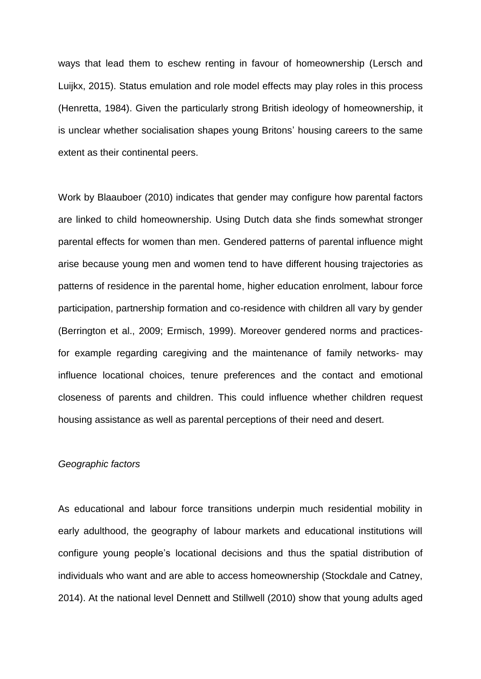ways that lead them to eschew renting in favour of homeownership (Lersch and Luijkx, 2015). Status emulation and role model effects may play roles in this process (Henretta, 1984). Given the particularly strong British ideology of homeownership, it is unclear whether socialisation shapes young Britons' housing careers to the same extent as their continental peers.

Work by Blaauboer (2010) indicates that gender may configure how parental factors are linked to child homeownership. Using Dutch data she finds somewhat stronger parental effects for women than men. Gendered patterns of parental influence might arise because young men and women tend to have different housing trajectories as patterns of residence in the parental home, higher education enrolment, labour force participation, partnership formation and co-residence with children all vary by gender (Berrington et al., 2009; Ermisch, 1999). Moreover gendered norms and practicesfor example regarding caregiving and the maintenance of family networks- may influence locational choices, tenure preferences and the contact and emotional closeness of parents and children. This could influence whether children request housing assistance as well as parental perceptions of their need and desert.

## *Geographic factors*

As educational and labour force transitions underpin much residential mobility in early adulthood, the geography of labour markets and educational institutions will configure young people's locational decisions and thus the spatial distribution of individuals who want and are able to access homeownership (Stockdale and Catney, 2014). At the national level Dennett and Stillwell (2010) show that young adults aged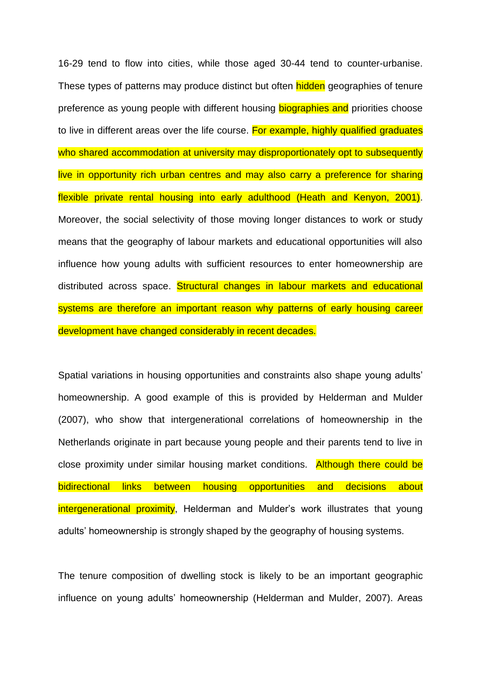16-29 tend to flow into cities, while those aged 30-44 tend to counter-urbanise. These types of patterns may produce distinct but often hidden geographies of tenure preference as young people with different housing **biographies and** priorities choose to live in different areas over the life course. For example, highly qualified graduates who shared accommodation at university may disproportionately opt to subsequently live in opportunity rich urban centres and may also carry a preference for sharing flexible private rental housing into early adulthood (Heath and Kenyon, 2001). Moreover, the social selectivity of those moving longer distances to work or study means that the geography of labour markets and educational opportunities will also influence how young adults with sufficient resources to enter homeownership are distributed across space. Structural changes in labour markets and educational systems are therefore an important reason why patterns of early housing career development have changed considerably in recent decades.

Spatial variations in housing opportunities and constraints also shape young adults' homeownership. A good example of this is provided by Helderman and Mulder (2007), who show that intergenerational correlations of homeownership in the Netherlands originate in part because young people and their parents tend to live in close proximity under similar housing market conditions. Although there could be bidirectional links between housing opportunities and decisions about intergenerational proximity, Helderman and Mulder's work illustrates that young adults' homeownership is strongly shaped by the geography of housing systems.

The tenure composition of dwelling stock is likely to be an important geographic influence on young adults' homeownership (Helderman and Mulder, 2007). Areas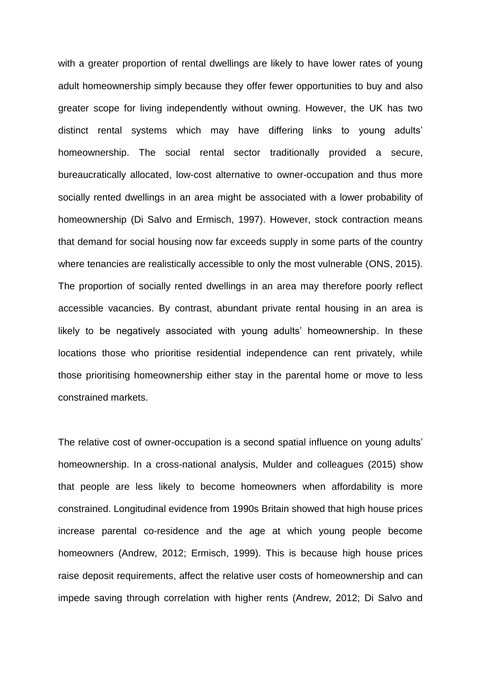with a greater proportion of rental dwellings are likely to have lower rates of young adult homeownership simply because they offer fewer opportunities to buy and also greater scope for living independently without owning. However, the UK has two distinct rental systems which may have differing links to young adults' homeownership. The social rental sector traditionally provided a secure, bureaucratically allocated, low-cost alternative to owner-occupation and thus more socially rented dwellings in an area might be associated with a lower probability of homeownership (Di Salvo and Ermisch, 1997). However, stock contraction means that demand for social housing now far exceeds supply in some parts of the country where tenancies are realistically accessible to only the most vulnerable (ONS, 2015). The proportion of socially rented dwellings in an area may therefore poorly reflect accessible vacancies. By contrast, abundant private rental housing in an area is likely to be negatively associated with young adults' homeownership. In these locations those who prioritise residential independence can rent privately, while those prioritising homeownership either stay in the parental home or move to less constrained markets.

The relative cost of owner-occupation is a second spatial influence on young adults' homeownership. In a cross-national analysis, Mulder and colleagues (2015) show that people are less likely to become homeowners when affordability is more constrained. Longitudinal evidence from 1990s Britain showed that high house prices increase parental co-residence and the age at which young people become homeowners (Andrew, 2012; Ermisch, 1999). This is because high house prices raise deposit requirements, affect the relative user costs of homeownership and can impede saving through correlation with higher rents (Andrew, 2012; Di Salvo and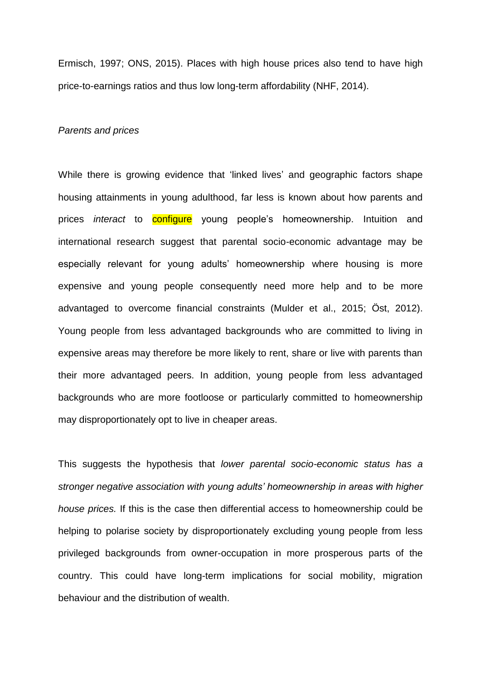Ermisch, 1997; ONS, 2015). Places with high house prices also tend to have high price-to-earnings ratios and thus low long-term affordability (NHF, 2014).

## *Parents and prices*

While there is growing evidence that 'linked lives' and geographic factors shape housing attainments in young adulthood, far less is known about how parents and prices *interact* to configure young people's homeownership. Intuition and international research suggest that parental socio-economic advantage may be especially relevant for young adults' homeownership where housing is more expensive and young people consequently need more help and to be more advantaged to overcome financial constraints (Mulder et al., 2015; Öst, 2012). Young people from less advantaged backgrounds who are committed to living in expensive areas may therefore be more likely to rent, share or live with parents than their more advantaged peers. In addition, young people from less advantaged backgrounds who are more footloose or particularly committed to homeownership may disproportionately opt to live in cheaper areas.

This suggests the hypothesis that *lower parental socio-economic status has a stronger negative association with young adults' homeownership in areas with higher house prices.* If this is the case then differential access to homeownership could be helping to polarise society by disproportionately excluding young people from less privileged backgrounds from owner-occupation in more prosperous parts of the country. This could have long-term implications for social mobility, migration behaviour and the distribution of wealth.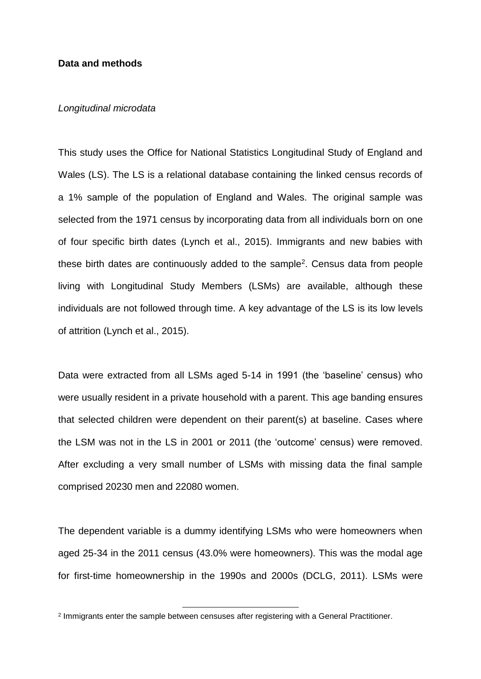## **Data and methods**

#### *Longitudinal microdata*

This study uses the Office for National Statistics Longitudinal Study of England and Wales (LS). The LS is a relational database containing the linked census records of a 1% sample of the population of England and Wales. The original sample was selected from the 1971 census by incorporating data from all individuals born on one of four specific birth dates (Lynch et al., 2015). Immigrants and new babies with these birth dates are continuously added to the sample<sup>2</sup>. Census data from people living with Longitudinal Study Members (LSMs) are available, although these individuals are not followed through time. A key advantage of the LS is its low levels of attrition (Lynch et al., 2015).

Data were extracted from all LSMs aged 5-14 in 1991 (the 'baseline' census) who were usually resident in a private household with a parent. This age banding ensures that selected children were dependent on their parent(s) at baseline. Cases where the LSM was not in the LS in 2001 or 2011 (the 'outcome' census) were removed. After excluding a very small number of LSMs with missing data the final sample comprised 20230 men and 22080 women.

The dependent variable is a dummy identifying LSMs who were homeowners when aged 25-34 in the 2011 census (43.0% were homeowners). This was the modal age for first-time homeownership in the 1990s and 2000s (DCLG, 2011). LSMs were

<sup>2</sup> Immigrants enter the sample between censuses after registering with a General Practitioner.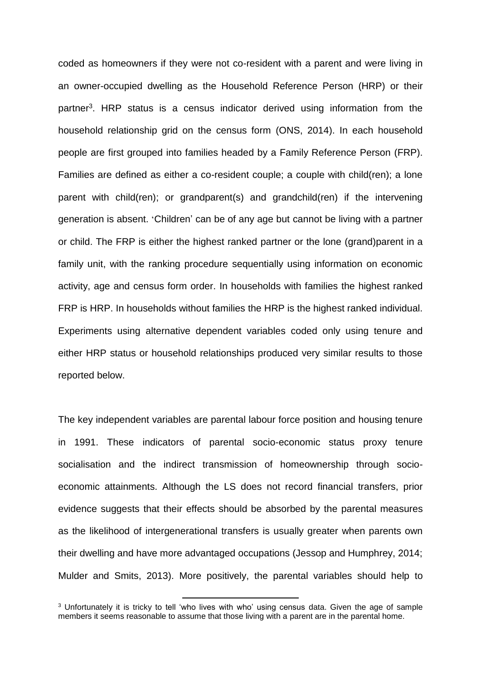coded as homeowners if they were not co-resident with a parent and were living in an owner-occupied dwelling as the Household Reference Person (HRP) or their partner<sup>3</sup>. HRP status is a census indicator derived using information from the household relationship grid on the census form (ONS, 2014). In each household people are first grouped into families headed by a Family Reference Person (FRP). Families are defined as either a co-resident couple; a couple with child(ren); a lone parent with child(ren); or grandparent(s) and grandchild(ren) if the intervening generation is absent. 'Children' can be of any age but cannot be living with a partner or child. The FRP is either the highest ranked partner or the lone (grand)parent in a family unit, with the ranking procedure sequentially using information on economic activity, age and census form order. In households with families the highest ranked FRP is HRP. In households without families the HRP is the highest ranked individual. Experiments using alternative dependent variables coded only using tenure and either HRP status or household relationships produced very similar results to those reported below.

The key independent variables are parental labour force position and housing tenure in 1991. These indicators of parental socio-economic status proxy tenure socialisation and the indirect transmission of homeownership through socioeconomic attainments. Although the LS does not record financial transfers, prior evidence suggests that their effects should be absorbed by the parental measures as the likelihood of intergenerational transfers is usually greater when parents own their dwelling and have more advantaged occupations (Jessop and Humphrey, 2014; Mulder and Smits, 2013). More positively, the parental variables should help to

<sup>&</sup>lt;sup>3</sup> Unfortunately it is tricky to tell 'who lives with who' using census data. Given the age of sample members it seems reasonable to assume that those living with a parent are in the parental home.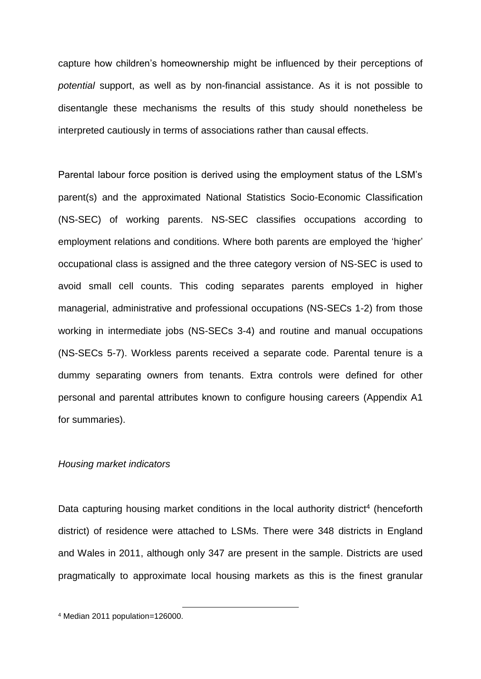capture how children's homeownership might be influenced by their perceptions of *potential* support, as well as by non-financial assistance. As it is not possible to disentangle these mechanisms the results of this study should nonetheless be interpreted cautiously in terms of associations rather than causal effects.

Parental labour force position is derived using the employment status of the LSM's parent(s) and the approximated National Statistics Socio-Economic Classification (NS-SEC) of working parents. NS-SEC classifies occupations according to employment relations and conditions. Where both parents are employed the 'higher' occupational class is assigned and the three category version of NS-SEC is used to avoid small cell counts. This coding separates parents employed in higher managerial, administrative and professional occupations (NS-SECs 1-2) from those working in intermediate jobs (NS-SECs 3-4) and routine and manual occupations (NS-SECs 5-7). Workless parents received a separate code. Parental tenure is a dummy separating owners from tenants. Extra controls were defined for other personal and parental attributes known to configure housing careers (Appendix A1 for summaries).

## *Housing market indicators*

Data capturing housing market conditions in the local authority district<sup>4</sup> (henceforth district) of residence were attached to LSMs. There were 348 districts in England and Wales in 2011, although only 347 are present in the sample. Districts are used pragmatically to approximate local housing markets as this is the finest granular

<sup>4</sup> Median 2011 population=126000.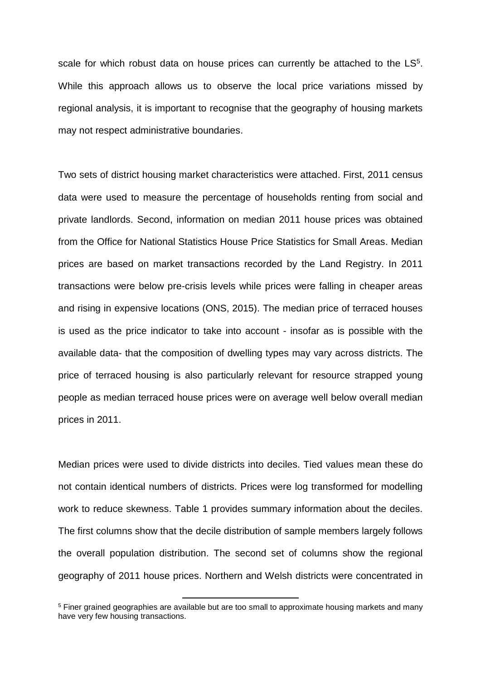scale for which robust data on house prices can currently be attached to the  $LS<sup>5</sup>$ . While this approach allows us to observe the local price variations missed by regional analysis, it is important to recognise that the geography of housing markets may not respect administrative boundaries.

Two sets of district housing market characteristics were attached. First, 2011 census data were used to measure the percentage of households renting from social and private landlords. Second, information on median 2011 house prices was obtained from the Office for National Statistics House Price Statistics for Small Areas. Median prices are based on market transactions recorded by the Land Registry. In 2011 transactions were below pre-crisis levels while prices were falling in cheaper areas and rising in expensive locations (ONS, 2015). The median price of terraced houses is used as the price indicator to take into account - insofar as is possible with the available data- that the composition of dwelling types may vary across districts. The price of terraced housing is also particularly relevant for resource strapped young people as median terraced house prices were on average well below overall median prices in 2011.

Median prices were used to divide districts into deciles. Tied values mean these do not contain identical numbers of districts. Prices were log transformed for modelling work to reduce skewness. Table 1 provides summary information about the deciles. The first columns show that the decile distribution of sample members largely follows the overall population distribution. The second set of columns show the regional geography of 2011 house prices. Northern and Welsh districts were concentrated in

<sup>&</sup>lt;sup>5</sup> Finer grained geographies are available but are too small to approximate housing markets and many have very few housing transactions.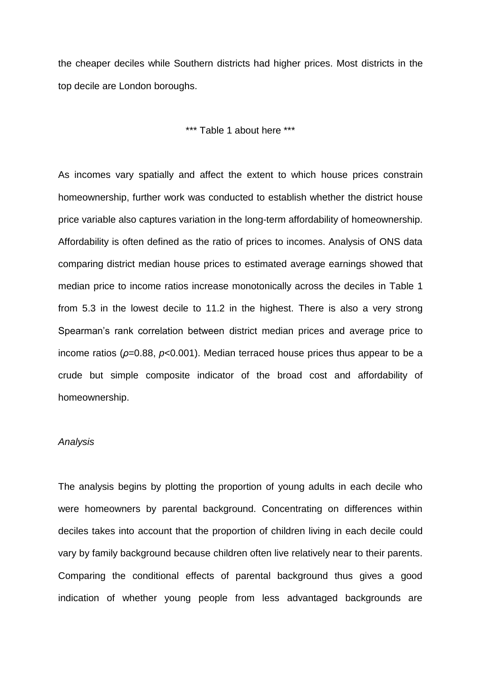the cheaper deciles while Southern districts had higher prices. Most districts in the top decile are London boroughs.

\*\*\* Table 1 about here \*\*\*

As incomes vary spatially and affect the extent to which house prices constrain homeownership, further work was conducted to establish whether the district house price variable also captures variation in the long-term affordability of homeownership. Affordability is often defined as the ratio of prices to incomes. Analysis of ONS data comparing district median house prices to estimated average earnings showed that median price to income ratios increase monotonically across the deciles in Table 1 from 5.3 in the lowest decile to 11.2 in the highest. There is also a very strong Spearman's rank correlation between district median prices and average price to income ratios (*ρ*=0.88, *p*<0.001). Median terraced house prices thus appear to be a crude but simple composite indicator of the broad cost and affordability of homeownership.

## *Analysis*

The analysis begins by plotting the proportion of young adults in each decile who were homeowners by parental background. Concentrating on differences within deciles takes into account that the proportion of children living in each decile could vary by family background because children often live relatively near to their parents. Comparing the conditional effects of parental background thus gives a good indication of whether young people from less advantaged backgrounds are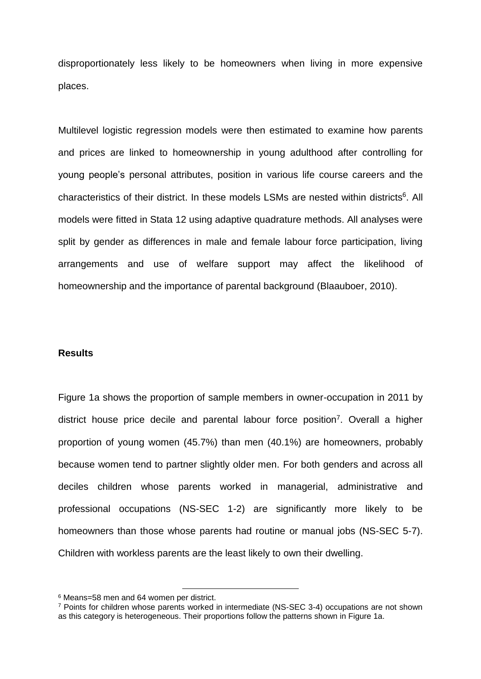disproportionately less likely to be homeowners when living in more expensive places.

Multilevel logistic regression models were then estimated to examine how parents and prices are linked to homeownership in young adulthood after controlling for young people's personal attributes, position in various life course careers and the characteristics of their district. In these models LSMs are nested within districts<sup>6</sup>. All models were fitted in Stata 12 using adaptive quadrature methods. All analyses were split by gender as differences in male and female labour force participation, living arrangements and use of welfare support may affect the likelihood of homeownership and the importance of parental background (Blaauboer, 2010).

#### **Results**

Figure 1a shows the proportion of sample members in owner-occupation in 2011 by district house price decile and parental labour force position<sup>7</sup>. Overall a higher proportion of young women (45.7%) than men (40.1%) are homeowners, probably because women tend to partner slightly older men. For both genders and across all deciles children whose parents worked in managerial, administrative and professional occupations (NS-SEC 1-2) are significantly more likely to be homeowners than those whose parents had routine or manual jobs (NS-SEC 5-7). Children with workless parents are the least likely to own their dwelling.

 $\overline{a}$ 

<sup>6</sup> Means=58 men and 64 women per district.

<sup>7</sup> Points for children whose parents worked in intermediate (NS-SEC 3-4) occupations are not shown as this category is heterogeneous. Their proportions follow the patterns shown in Figure 1a.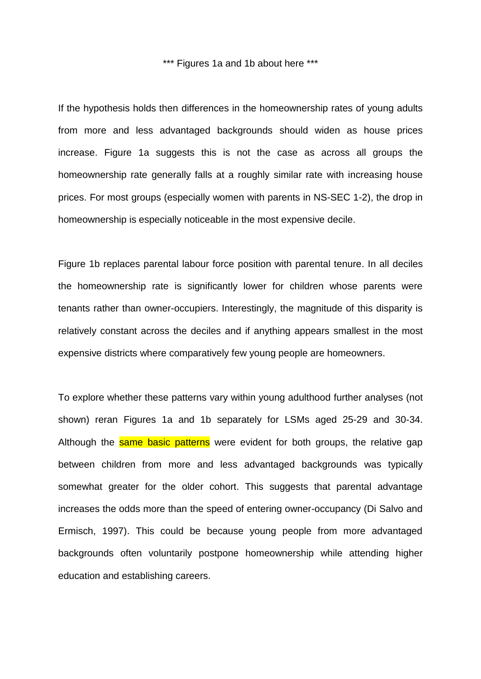\*\*\* Figures 1a and 1b about here \*\*\*

If the hypothesis holds then differences in the homeownership rates of young adults from more and less advantaged backgrounds should widen as house prices increase. Figure 1a suggests this is not the case as across all groups the homeownership rate generally falls at a roughly similar rate with increasing house prices. For most groups (especially women with parents in NS-SEC 1-2), the drop in homeownership is especially noticeable in the most expensive decile.

Figure 1b replaces parental labour force position with parental tenure. In all deciles the homeownership rate is significantly lower for children whose parents were tenants rather than owner-occupiers. Interestingly, the magnitude of this disparity is relatively constant across the deciles and if anything appears smallest in the most expensive districts where comparatively few young people are homeowners.

To explore whether these patterns vary within young adulthood further analyses (not shown) reran Figures 1a and 1b separately for LSMs aged 25-29 and 30-34. Although the **same basic patterns** were evident for both groups, the relative gap between children from more and less advantaged backgrounds was typically somewhat greater for the older cohort. This suggests that parental advantage increases the odds more than the speed of entering owner-occupancy (Di Salvo and Ermisch, 1997). This could be because young people from more advantaged backgrounds often voluntarily postpone homeownership while attending higher education and establishing careers.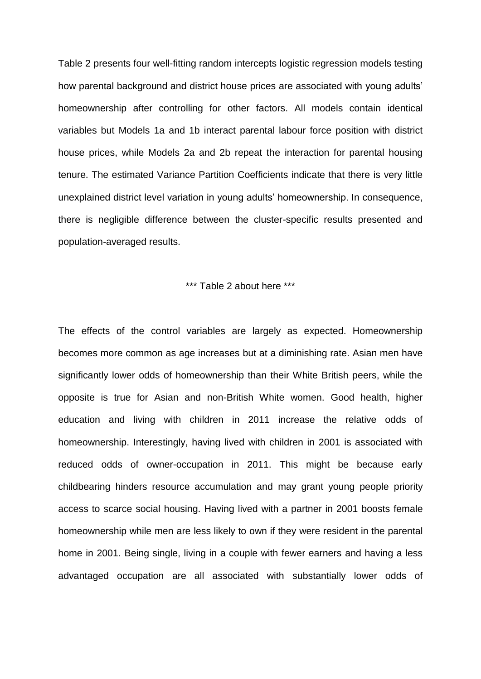Table 2 presents four well-fitting random intercepts logistic regression models testing how parental background and district house prices are associated with young adults' homeownership after controlling for other factors. All models contain identical variables but Models 1a and 1b interact parental labour force position with district house prices, while Models 2a and 2b repeat the interaction for parental housing tenure. The estimated Variance Partition Coefficients indicate that there is very little unexplained district level variation in young adults' homeownership. In consequence, there is negligible difference between the cluster-specific results presented and population-averaged results.

## \*\*\* Table 2 about here \*\*\*

The effects of the control variables are largely as expected. Homeownership becomes more common as age increases but at a diminishing rate. Asian men have significantly lower odds of homeownership than their White British peers, while the opposite is true for Asian and non-British White women. Good health, higher education and living with children in 2011 increase the relative odds of homeownership. Interestingly, having lived with children in 2001 is associated with reduced odds of owner-occupation in 2011. This might be because early childbearing hinders resource accumulation and may grant young people priority access to scarce social housing. Having lived with a partner in 2001 boosts female homeownership while men are less likely to own if they were resident in the parental home in 2001. Being single, living in a couple with fewer earners and having a less advantaged occupation are all associated with substantially lower odds of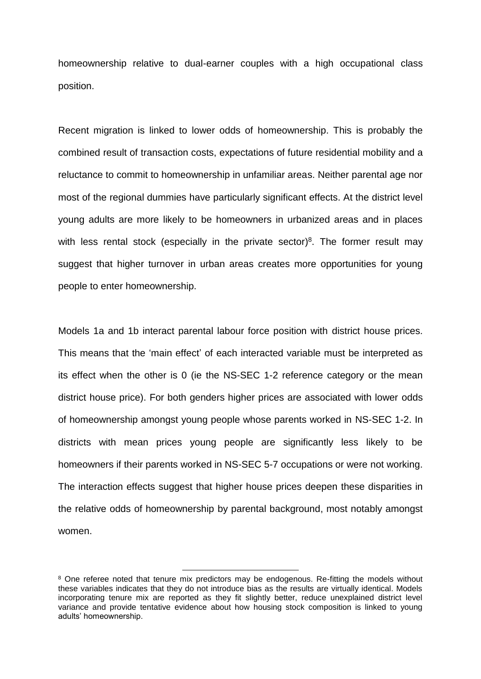homeownership relative to dual-earner couples with a high occupational class position.

Recent migration is linked to lower odds of homeownership. This is probably the combined result of transaction costs, expectations of future residential mobility and a reluctance to commit to homeownership in unfamiliar areas. Neither parental age nor most of the regional dummies have particularly significant effects. At the district level young adults are more likely to be homeowners in urbanized areas and in places with less rental stock (especially in the private sector)<sup>8</sup>. The former result may suggest that higher turnover in urban areas creates more opportunities for young people to enter homeownership.

Models 1a and 1b interact parental labour force position with district house prices. This means that the 'main effect' of each interacted variable must be interpreted as its effect when the other is 0 (ie the NS-SEC 1-2 reference category or the mean district house price). For both genders higher prices are associated with lower odds of homeownership amongst young people whose parents worked in NS-SEC 1-2. In districts with mean prices young people are significantly less likely to be homeowners if their parents worked in NS-SEC 5-7 occupations or were not working. The interaction effects suggest that higher house prices deepen these disparities in the relative odds of homeownership by parental background, most notably amongst women.

<sup>&</sup>lt;sup>8</sup> One referee noted that tenure mix predictors may be endogenous. Re-fitting the models without these variables indicates that they do not introduce bias as the results are virtually identical. Models incorporating tenure mix are reported as they fit slightly better, reduce unexplained district level variance and provide tentative evidence about how housing stock composition is linked to young adults' homeownership.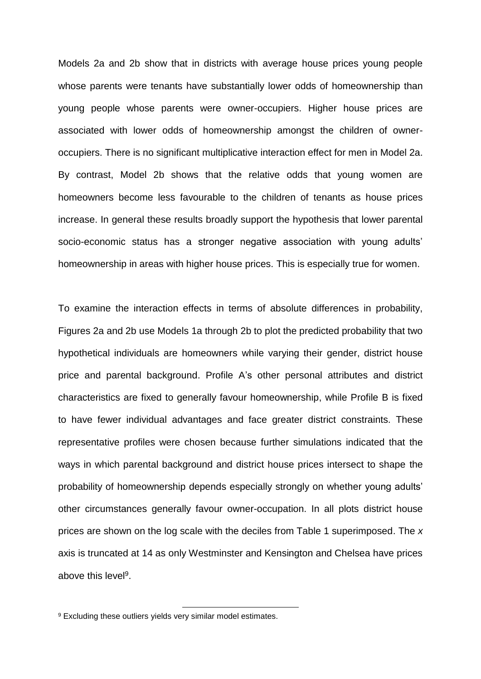Models 2a and 2b show that in districts with average house prices young people whose parents were tenants have substantially lower odds of homeownership than young people whose parents were owner-occupiers. Higher house prices are associated with lower odds of homeownership amongst the children of owneroccupiers. There is no significant multiplicative interaction effect for men in Model 2a. By contrast, Model 2b shows that the relative odds that young women are homeowners become less favourable to the children of tenants as house prices increase. In general these results broadly support the hypothesis that lower parental socio-economic status has a stronger negative association with young adults' homeownership in areas with higher house prices. This is especially true for women.

To examine the interaction effects in terms of absolute differences in probability, Figures 2a and 2b use Models 1a through 2b to plot the predicted probability that two hypothetical individuals are homeowners while varying their gender, district house price and parental background. Profile A's other personal attributes and district characteristics are fixed to generally favour homeownership, while Profile B is fixed to have fewer individual advantages and face greater district constraints. These representative profiles were chosen because further simulations indicated that the ways in which parental background and district house prices intersect to shape the probability of homeownership depends especially strongly on whether young adults' other circumstances generally favour owner-occupation. In all plots district house prices are shown on the log scale with the deciles from Table 1 superimposed. The *x* axis is truncated at 14 as only Westminster and Kensington and Chelsea have prices above this level<sup>9</sup>.

<sup>&</sup>lt;sup>9</sup> Excluding these outliers yields very similar model estimates.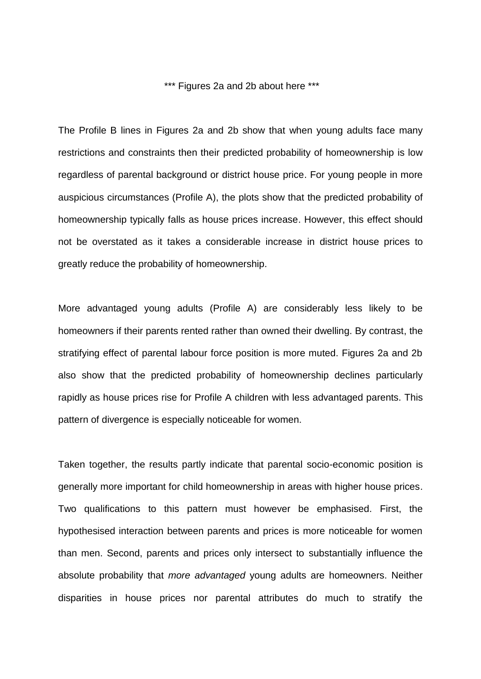\*\*\* Figures 2a and 2b about here \*\*\*

The Profile B lines in Figures 2a and 2b show that when young adults face many restrictions and constraints then their predicted probability of homeownership is low regardless of parental background or district house price. For young people in more auspicious circumstances (Profile A), the plots show that the predicted probability of homeownership typically falls as house prices increase. However, this effect should not be overstated as it takes a considerable increase in district house prices to greatly reduce the probability of homeownership.

More advantaged young adults (Profile A) are considerably less likely to be homeowners if their parents rented rather than owned their dwelling. By contrast, the stratifying effect of parental labour force position is more muted. Figures 2a and 2b also show that the predicted probability of homeownership declines particularly rapidly as house prices rise for Profile A children with less advantaged parents. This pattern of divergence is especially noticeable for women.

Taken together, the results partly indicate that parental socio-economic position is generally more important for child homeownership in areas with higher house prices. Two qualifications to this pattern must however be emphasised. First, the hypothesised interaction between parents and prices is more noticeable for women than men. Second, parents and prices only intersect to substantially influence the absolute probability that *more advantaged* young adults are homeowners. Neither disparities in house prices nor parental attributes do much to stratify the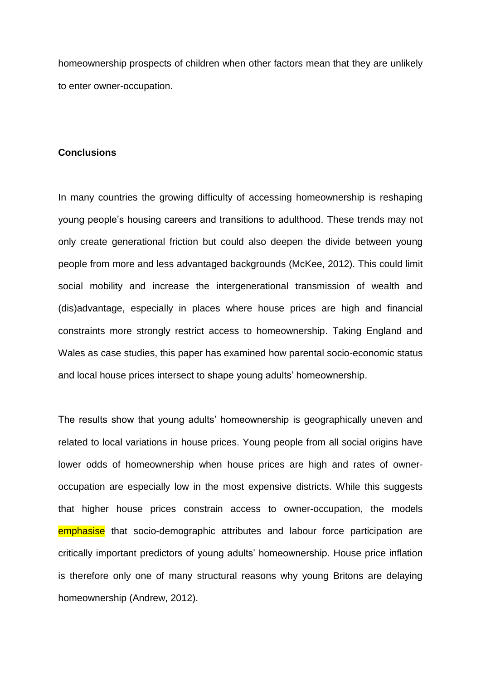homeownership prospects of children when other factors mean that they are unlikely to enter owner-occupation.

## **Conclusions**

In many countries the growing difficulty of accessing homeownership is reshaping young people's housing careers and transitions to adulthood. These trends may not only create generational friction but could also deepen the divide between young people from more and less advantaged backgrounds (McKee, 2012). This could limit social mobility and increase the intergenerational transmission of wealth and (dis)advantage, especially in places where house prices are high and financial constraints more strongly restrict access to homeownership. Taking England and Wales as case studies, this paper has examined how parental socio-economic status and local house prices intersect to shape young adults' homeownership.

The results show that young adults' homeownership is geographically uneven and related to local variations in house prices. Young people from all social origins have lower odds of homeownership when house prices are high and rates of owneroccupation are especially low in the most expensive districts. While this suggests that higher house prices constrain access to owner-occupation, the models emphasise that socio-demographic attributes and labour force participation are critically important predictors of young adults' homeownership. House price inflation is therefore only one of many structural reasons why young Britons are delaying homeownership (Andrew, 2012).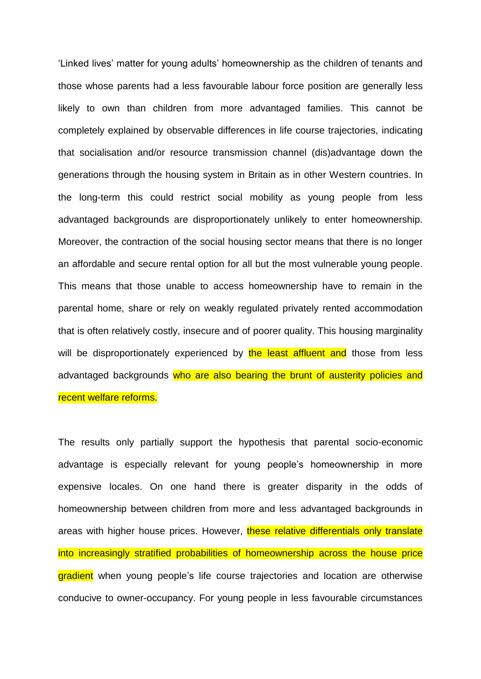'Linked lives' matter for young adults' homeownership as the children of tenants and those whose parents had a less favourable labour force position are generally less likely to own than children from more advantaged families. This cannot be completely explained by observable differences in life course trajectories, indicating that socialisation and/or resource transmission channel (dis)advantage down the generations through the housing system in Britain as in other Western countries. In the long-term this could restrict social mobility as young people from less advantaged backgrounds are disproportionately unlikely to enter homeownership. Moreover, the contraction of the social housing sector means that there is no longer an affordable and secure rental option for all but the most vulnerable young people. This means that those unable to access homeownership have to remain in the parental home, share or rely on weakly regulated privately rented accommodation that is often relatively costly, insecure and of poorer quality. This housing marginality will be disproportionately experienced by the least affluent and those from less advantaged backgrounds who are also bearing the brunt of austerity policies and recent welfare reforms.

The results only partially support the hypothesis that parental socio-economic advantage is especially relevant for young people's homeownership in more expensive locales. On one hand there is greater disparity in the odds of homeownership between children from more and less advantaged backgrounds in areas with higher house prices. However, these relative differentials only translate into increasingly stratified probabilities of homeownership across the house price **gradient** when young people's life course trajectories and location are otherwise conducive to owner-occupancy. For young people in less favourable circumstances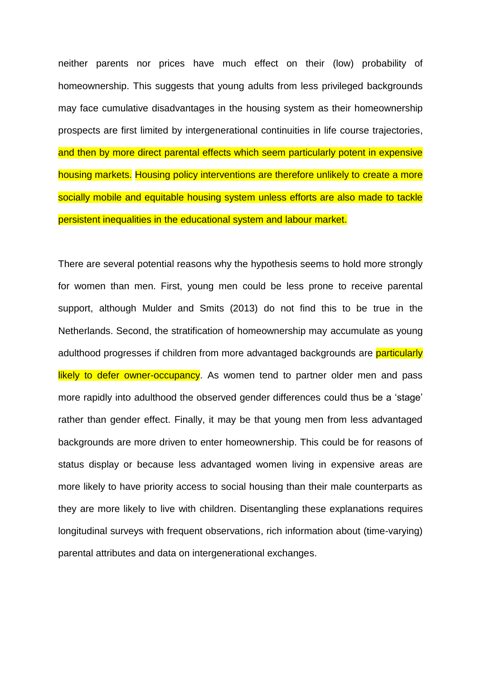neither parents nor prices have much effect on their (low) probability of homeownership. This suggests that young adults from less privileged backgrounds may face cumulative disadvantages in the housing system as their homeownership prospects are first limited by intergenerational continuities in life course trajectories, and then by more direct parental effects which seem particularly potent in expensive housing markets. Housing policy interventions are therefore unlikely to create a more socially mobile and equitable housing system unless efforts are also made to tackle persistent inequalities in the educational system and labour market.

There are several potential reasons why the hypothesis seems to hold more strongly for women than men. First, young men could be less prone to receive parental support, although Mulder and Smits (2013) do not find this to be true in the Netherlands. Second, the stratification of homeownership may accumulate as young adulthood progresses if children from more advantaged backgrounds are particularly likely to defer owner-occupancy. As women tend to partner older men and pass more rapidly into adulthood the observed gender differences could thus be a 'stage' rather than gender effect. Finally, it may be that young men from less advantaged backgrounds are more driven to enter homeownership. This could be for reasons of status display or because less advantaged women living in expensive areas are more likely to have priority access to social housing than their male counterparts as they are more likely to live with children. Disentangling these explanations requires longitudinal surveys with frequent observations, rich information about (time-varying) parental attributes and data on intergenerational exchanges.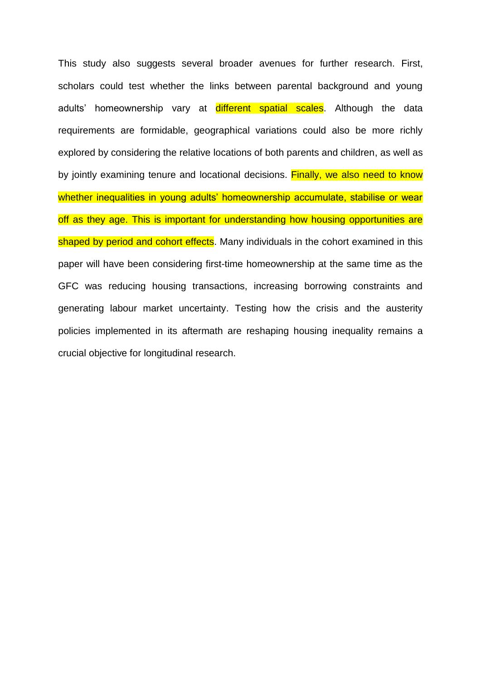This study also suggests several broader avenues for further research. First, scholars could test whether the links between parental background and young adults' homeownership vary at different spatial scales. Although the data requirements are formidable, geographical variations could also be more richly explored by considering the relative locations of both parents and children, as well as by jointly examining tenure and locational decisions. Finally, we also need to know whether inequalities in young adults' homeownership accumulate, stabilise or wear off as they age. This is important for understanding how housing opportunities are shaped by period and cohort effects. Many individuals in the cohort examined in this paper will have been considering first-time homeownership at the same time as the GFC was reducing housing transactions, increasing borrowing constraints and generating labour market uncertainty. Testing how the crisis and the austerity policies implemented in its aftermath are reshaping housing inequality remains a crucial objective for longitudinal research.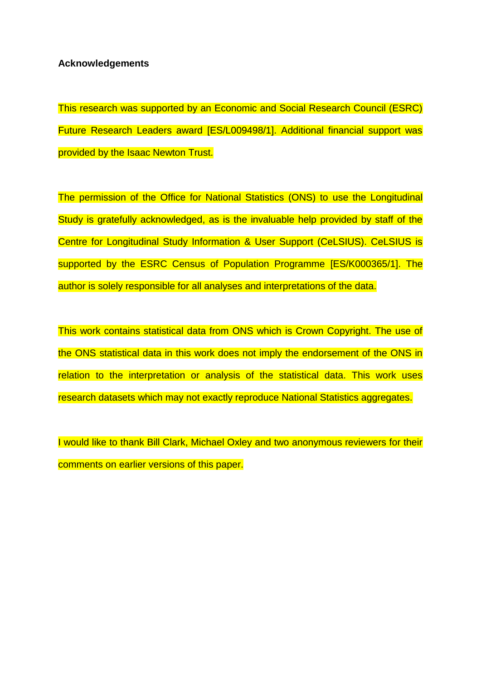## **Acknowledgements**

This research was supported by an Economic and Social Research Council (ESRC) Future Research Leaders award [ES/L009498/1]. Additional financial support was provided by the Isaac Newton Trust.

The permission of the Office for National Statistics (ONS) to use the Longitudinal Study is gratefully acknowledged, as is the invaluable help provided by staff of the Centre for Longitudinal Study Information & User Support (CeLSIUS). CeLSIUS is supported by the ESRC Census of Population Programme [ES/K000365/1]. The author is solely responsible for all analyses and interpretations of the data.

This work contains statistical data from ONS which is Crown Copyright. The use of the ONS statistical data in this work does not imply the endorsement of the ONS in relation to the interpretation or analysis of the statistical data. This work uses research datasets which may not exactly reproduce National Statistics aggregates.

I would like to thank Bill Clark, Michael Oxley and two anonymous reviewers for their comments on earlier versions of this paper.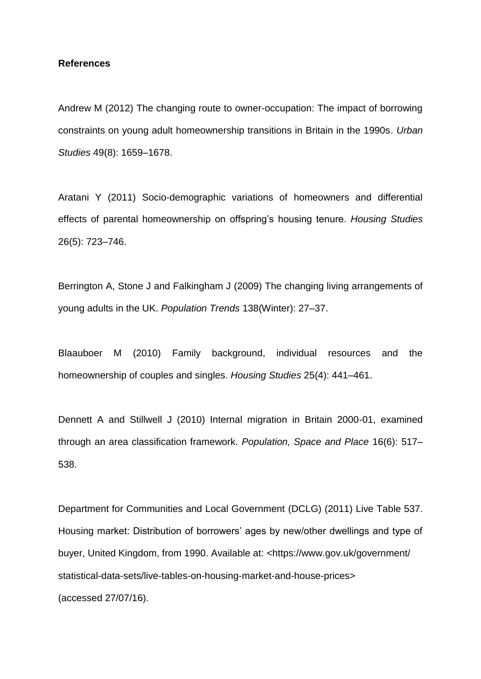## **References**

Andrew M (2012) The changing route to owner-occupation: The impact of borrowing constraints on young adult homeownership transitions in Britain in the 1990s. *Urban Studies* 49(8): 1659–1678.

Aratani Y (2011) Socio-demographic variations of homeowners and differential effects of parental homeownership on offspring's housing tenure. *Housing Studies* 26(5): 723–746.

Berrington A, Stone J and Falkingham J (2009) The changing living arrangements of young adults in the UK. *Population Trends* 138(Winter): 27–37.

Blaauboer M (2010) Family background, individual resources and the homeownership of couples and singles. *Housing Studies* 25(4): 441–461.

Dennett A and Stillwell J (2010) Internal migration in Britain 2000-01, examined through an area classification framework. *Population, Space and Place* 16(6): 517– 538.

Department for Communities and Local Government (DCLG) (2011) Live Table 537. Housing market: Distribution of borrowers' ages by new/other dwellings and type of buyer, United Kingdom, from 1990. Available at: <https://www.gov.uk/government/ statistical-data-sets/live-tables-on-housing-market-and-house-prices> (accessed 27/07/16).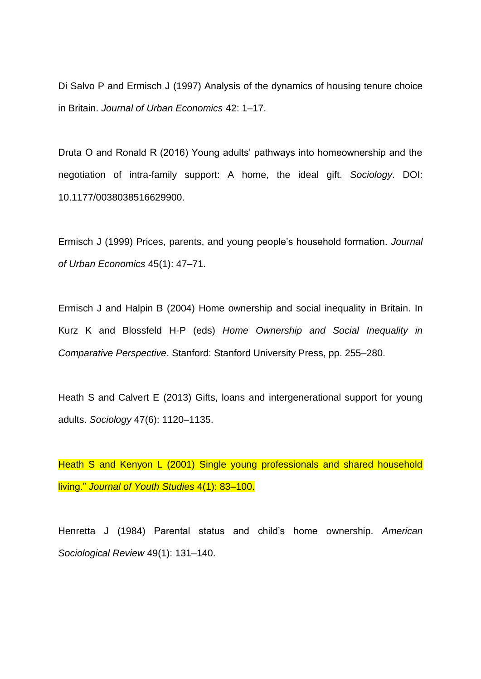Di Salvo P and Ermisch J (1997) Analysis of the dynamics of housing tenure choice in Britain. *Journal of Urban Economics* 42: 1–17.

Druta O and Ronald R (2016) Young adults' pathways into homeownership and the negotiation of intra-family support: A home, the ideal gift. *Sociology*. DOI: 10.1177/0038038516629900.

Ermisch J (1999) Prices, parents, and young people's household formation. *Journal of Urban Economics* 45(1): 47–71.

Ermisch J and Halpin B (2004) Home ownership and social inequality in Britain. In Kurz K and Blossfeld H-P (eds) *Home Ownership and Social Inequality in Comparative Perspective*. Stanford: Stanford University Press, pp. 255–280.

Heath S and Calvert E (2013) Gifts, loans and intergenerational support for young adults. *Sociology* 47(6): 1120–1135.

Heath S and Kenyon L (2001) Single young professionals and shared household living." *Journal of Youth Studies* 4(1): 83–100.

Henretta J (1984) Parental status and child's home ownership. *American Sociological Review* 49(1): 131–140.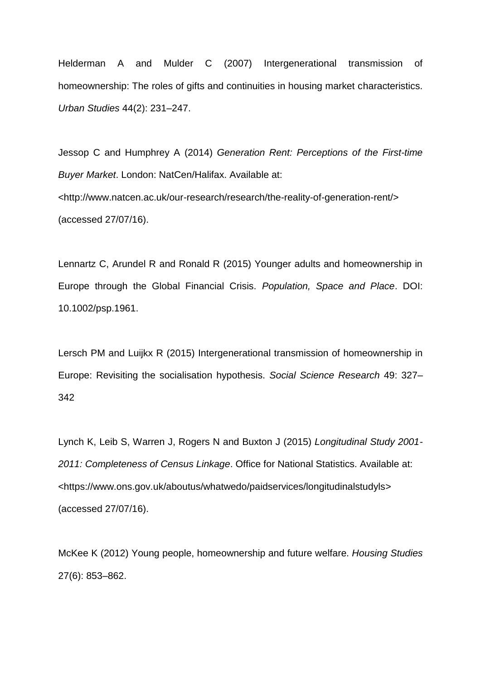Helderman A and Mulder C (2007) Intergenerational transmission of homeownership: The roles of gifts and continuities in housing market characteristics. *Urban Studies* 44(2): 231–247.

Jessop C and Humphrey A (2014) *Generation Rent: Perceptions of the First-time Buyer Market*. London: NatCen/Halifax. Available at: <http://www.natcen.ac.uk/our-research/research/the-reality-of-generation-rent/> (accessed 27/07/16).

Lennartz C, Arundel R and Ronald R (2015) Younger adults and homeownership in Europe through the Global Financial Crisis. *Population, Space and Place*. DOI: 10.1002/psp.1961.

Lersch PM and Luijkx R (2015) Intergenerational transmission of homeownership in Europe: Revisiting the socialisation hypothesis. *Social Science Research* 49: 327– 342

Lynch K, Leib S, Warren J, Rogers N and Buxton J (2015) *Longitudinal Study 2001- 2011: Completeness of Census Linkage*. Office for National Statistics. Available at: <https://www.ons.gov.uk/aboutus/whatwedo/paidservices/longitudinalstudyls> (accessed 27/07/16).

McKee K (2012) Young people, homeownership and future welfare. *Housing Studies* 27(6): 853–862.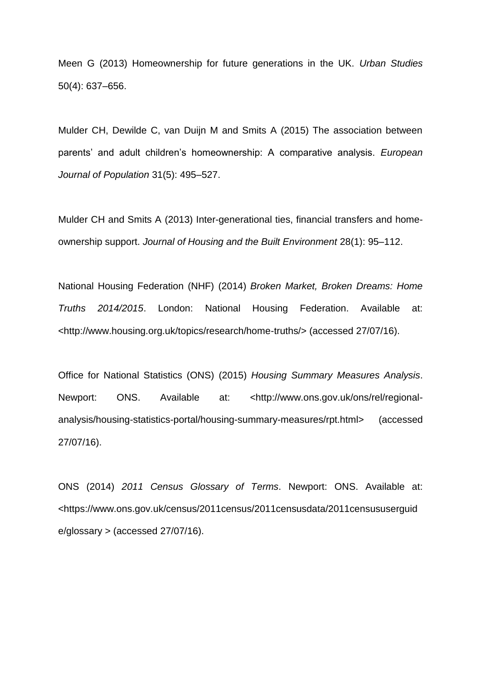Meen G (2013) Homeownership for future generations in the UK. *Urban Studies* 50(4): 637–656.

Mulder CH, Dewilde C, van Duijn M and Smits A (2015) The association between parents' and adult children's homeownership: A comparative analysis. *European Journal of Population* 31(5): 495–527.

Mulder CH and Smits A (2013) Inter-generational ties, financial transfers and homeownership support. *Journal of Housing and the Built Environment* 28(1): 95–112.

National Housing Federation (NHF) (2014) *Broken Market, Broken Dreams: Home Truths 2014/2015*. London: National Housing Federation. Available at: <http://www.housing.org.uk/topics/research/home-truths/> (accessed 27/07/16).

Office for National Statistics (ONS) (2015) *Housing Summary Measures Analysis*. Newport: ONS. Available at: <http://www.ons.gov.uk/ons/rel/regionalanalysis/housing-statistics-portal/housing-summary-measures/rpt.html> (accessed 27/07/16).

ONS (2014) *2011 Census Glossary of Terms*. Newport: ONS. Available at: <https://www.ons.gov.uk/census/2011census/2011censusdata/2011censususerguid e/glossary > (accessed 27/07/16).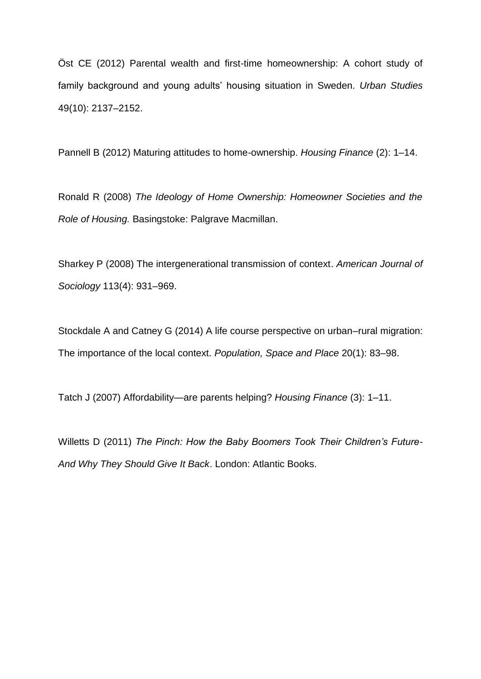Öst CE (2012) Parental wealth and first-time homeownership: A cohort study of family background and young adults' housing situation in Sweden. *Urban Studies* 49(10): 2137–2152.

Pannell B (2012) Maturing attitudes to home-ownership. *Housing Finance* (2): 1–14.

Ronald R (2008) *The Ideology of Home Ownership: Homeowner Societies and the Role of Housing.* Basingstoke: Palgrave Macmillan.

Sharkey P (2008) The intergenerational transmission of context. *American Journal of Sociology* 113(4): 931–969.

Stockdale A and Catney G (2014) A life course perspective on urban–rural migration: The importance of the local context. *Population, Space and Place* 20(1): 83–98.

Tatch J (2007) Affordability—are parents helping? *Housing Finance* (3): 1–11.

Willetts D (2011) *The Pinch: How the Baby Boomers Took Their Children's Future-And Why They Should Give It Back*. London: Atlantic Books.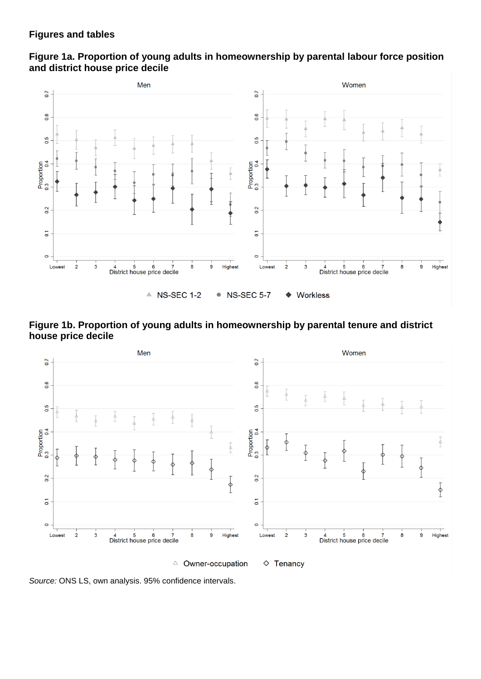## **Figures and tables**





## **Figure 1b. Proportion of young adults in homeownership by parental tenure and district house price decile**



*Source:* ONS LS, own analysis. 95% confidence intervals.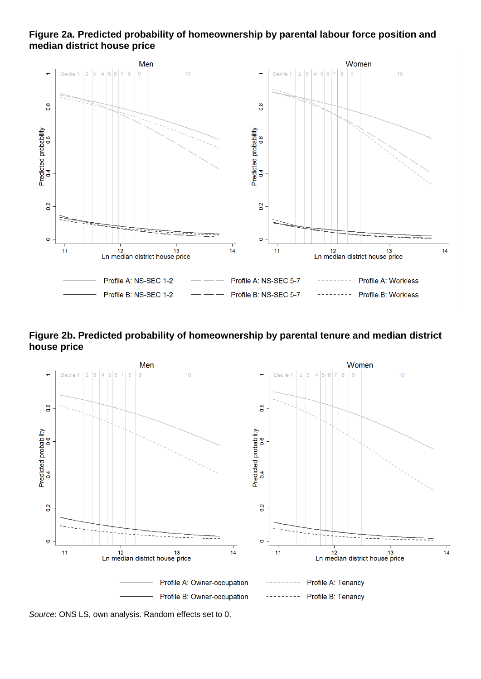## **Figure 2a. Predicted probability of homeownership by parental labour force position and median district house price**



**Figure 2b. Predicted probability of homeownership by parental tenure and median district house price**



*Source*: ONS LS, own analysis. Random effects set to 0.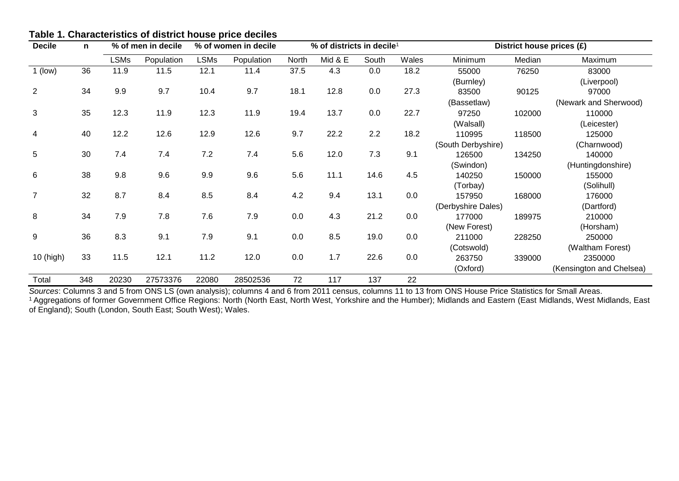| <b>Decile</b><br>n |     | % of men in decile |            | % of women in decile |            | % of districts in decile <sup>1</sup> |         |       | District house prices (£) |                    |        |                          |
|--------------------|-----|--------------------|------------|----------------------|------------|---------------------------------------|---------|-------|---------------------------|--------------------|--------|--------------------------|
|                    |     | <b>LSMs</b>        | Population | <b>LSMs</b>          | Population | North                                 | Mid & E | South | Wales                     | Minimum            | Median | Maximum                  |
| $1$ (low)          | 36  | 11.9               | 11.5       | 12.1                 | 11.4       | 37.5                                  | 4.3     | 0.0   | 18.2                      | 55000              | 76250  | 83000                    |
|                    |     |                    |            |                      |            |                                       |         |       |                           | (Burnley)          |        | (Liverpool)              |
| $\overline{2}$     | 34  | 9.9                | 9.7        | 10.4                 | 9.7        | 18.1                                  | 12.8    | 0.0   | 27.3                      | 83500              | 90125  | 97000                    |
|                    |     |                    |            |                      |            |                                       |         |       |                           | (Bassetlaw)        |        | (Newark and Sherwood)    |
| 3                  | 35  | 12.3               | 11.9       | 12.3                 | 11.9       | 19.4                                  | 13.7    | 0.0   | 22.7                      | 97250              | 102000 | 110000                   |
|                    |     |                    |            |                      |            |                                       |         |       |                           | (Walsall)          |        | (Leicester)              |
| 4                  | 40  | 12.2               | 12.6       | 12.9                 | 12.6       | 9.7                                   | 22.2    | 2.2   | 18.2                      | 110995             | 118500 | 125000                   |
|                    |     |                    |            |                      |            |                                       |         |       |                           | (South Derbyshire) |        | (Charnwood)              |
| 5                  | 30  | 7.4                | 7.4        | 7.2                  | 7.4        | 5.6                                   | 12.0    | 7.3   | 9.1                       | 126500             | 134250 | 140000                   |
|                    |     |                    |            |                      |            |                                       |         |       |                           | (Swindon)          |        | (Huntingdonshire)        |
| 6                  | 38  | 9.8                | 9.6        | 9.9                  | 9.6        | 5.6                                   | 11.1    | 14.6  | 4.5                       | 140250             | 150000 | 155000                   |
|                    |     |                    |            |                      |            |                                       |         |       |                           | (Torbay)           |        | (Solihull)               |
| $\overline{7}$     | 32  | 8.7                | 8.4        | 8.5                  | 8.4        | 4.2                                   | 9.4     | 13.1  | 0.0                       | 157950             | 168000 | 176000                   |
|                    |     |                    |            |                      |            |                                       |         |       |                           | (Derbyshire Dales) |        | (Dartford)               |
| 8                  | 34  | 7.9                | 7.8        | 7.6                  | 7.9        | 0.0                                   | 4.3     | 21.2  | 0.0                       | 177000             | 189975 | 210000                   |
|                    |     |                    |            |                      |            |                                       |         |       |                           | (New Forest)       |        | (Horsham)                |
| 9                  | 36  | 8.3                | 9.1        | 7.9                  | 9.1        | 0.0                                   | 8.5     | 19.0  | 0.0                       | 211000             | 228250 | 250000                   |
|                    |     |                    |            |                      |            |                                       |         |       |                           | (Cotswold)         |        | (Waltham Forest)         |
| 10 (high)          | 33  | 11.5               | 12.1       | 11.2                 | 12.0       | 0.0                                   | 1.7     | 22.6  | 0.0                       | 263750             | 339000 | 2350000                  |
|                    |     |                    |            |                      |            |                                       |         |       |                           | (Oxford)           |        | (Kensington and Chelsea) |
| Total              | 348 | 20230              | 27573376   | 22080                | 28502536   | 72                                    | 117     | 137   | 22                        |                    |        |                          |

## **Table 1. Characteristics of district house price deciles**

*Sources*: Columns 3 and 5 from ONS LS (own analysis); columns 4 and 6 from 2011 census, columns 11 to 13 from ONS House Price Statistics for Small Areas. <sup>1</sup> Aggregations of former Government Office Regions: North (North East, North West, Yorkshire and the Humber); Midlands and Eastern (East Midlands, West Midlands, East of England); South (London, South East; South West); Wales.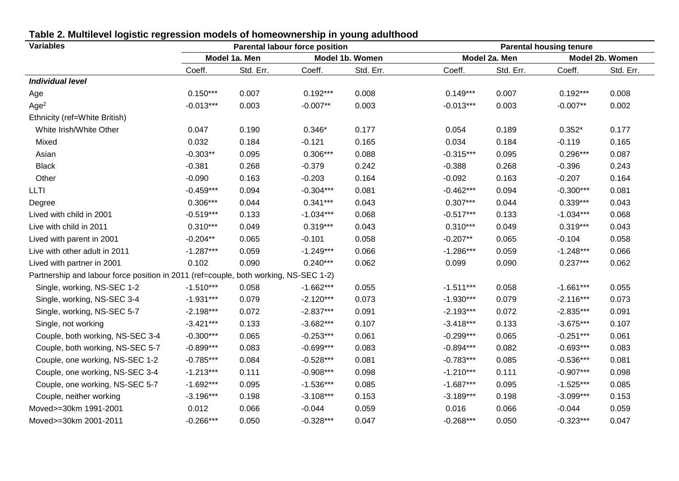| <b>Variables</b>                                                                     |               |           | <b>Parental labour force position</b> |           | <b>Parental housing tenure</b> |           |                 |           |  |
|--------------------------------------------------------------------------------------|---------------|-----------|---------------------------------------|-----------|--------------------------------|-----------|-----------------|-----------|--|
|                                                                                      | Model 1a. Men |           | Model 1b. Women                       |           | Model 2a. Men                  |           | Model 2b. Women |           |  |
|                                                                                      | Coeff.        | Std. Err. | Coeff.                                | Std. Err. | Coeff.                         | Std. Err. | Coeff.          | Std. Err. |  |
| <b>Individual level</b>                                                              |               |           |                                       |           |                                |           |                 |           |  |
| Age                                                                                  | $0.150***$    | 0.007     | $0.192***$                            | 0.008     | $0.149***$                     | 0.007     | $0.192***$      | 0.008     |  |
| Age <sup>2</sup>                                                                     | $-0.013***$   | 0.003     | $-0.007**$                            | 0.003     | $-0.013***$                    | 0.003     | $-0.007**$      | 0.002     |  |
| Ethnicity (ref=White British)                                                        |               |           |                                       |           |                                |           |                 |           |  |
| White Irish/White Other                                                              | 0.047         | 0.190     | $0.346*$                              | 0.177     | 0.054                          | 0.189     | $0.352*$        | 0.177     |  |
| Mixed                                                                                | 0.032         | 0.184     | $-0.121$                              | 0.165     | 0.034                          | 0.184     | $-0.119$        | 0.165     |  |
| Asian                                                                                | $-0.303**$    | 0.095     | $0.306***$                            | 0.088     | $-0.315***$                    | 0.095     | $0.296***$      | 0.087     |  |
| <b>Black</b>                                                                         | $-0.381$      | 0.268     | $-0.379$                              | 0.242     | $-0.388$                       | 0.268     | $-0.396$        | 0.243     |  |
| Other                                                                                | $-0.090$      | 0.163     | $-0.203$                              | 0.164     | $-0.092$                       | 0.163     | $-0.207$        | 0.164     |  |
| LLTI                                                                                 | $-0.459***$   | 0.094     | $-0.304***$                           | 0.081     | $-0.462***$                    | 0.094     | $-0.300***$     | 0.081     |  |
| Degree                                                                               | $0.306***$    | 0.044     | $0.341***$                            | 0.043     | $0.307***$                     | 0.044     | $0.339***$      | 0.043     |  |
| Lived with child in 2001                                                             | $-0.519***$   | 0.133     | $-1.034***$                           | 0.068     | $-0.517***$                    | 0.133     | $-1.034***$     | 0.068     |  |
| Live with child in 2011                                                              | $0.310***$    | 0.049     | $0.319***$                            | 0.043     | $0.310***$                     | 0.049     | $0.319***$      | 0.043     |  |
| Lived with parent in 2001                                                            | $-0.204**$    | 0.065     | $-0.101$                              | 0.058     | $-0.207**$                     | 0.065     | $-0.104$        | 0.058     |  |
| Live with other adult in 2011                                                        | $-1.287***$   | 0.059     | $-1.249***$                           | 0.066     | $-1.286***$                    | 0.059     | $-1.248***$     | 0.066     |  |
| Lived with partner in 2001                                                           | 0.102         | 0.090     | $0.240***$                            | 0.062     | 0.099                          | 0.090     | $0.237***$      | 0.062     |  |
| Partnership and labour force position in 2011 (ref=couple, both working, NS-SEC 1-2) |               |           |                                       |           |                                |           |                 |           |  |
| Single, working, NS-SEC 1-2                                                          | $-1.510***$   | 0.058     | $-1.662***$                           | 0.055     | $-1.511***$                    | 0.058     | $-1.661***$     | 0.055     |  |
| Single, working, NS-SEC 3-4                                                          | $-1.931***$   | 0.079     | $-2.120***$                           | 0.073     | $-1.930***$                    | 0.079     | $-2.116***$     | 0.073     |  |
| Single, working, NS-SEC 5-7                                                          | $-2.198***$   | 0.072     | $-2.837***$                           | 0.091     | $-2.193***$                    | 0.072     | $-2.835***$     | 0.091     |  |
| Single, not working                                                                  | $-3.421***$   | 0.133     | $-3.682***$                           | 0.107     | $-3.418***$                    | 0.133     | $-3.675***$     | 0.107     |  |
| Couple, both working, NS-SEC 3-4                                                     | $-0.300***$   | 0.065     | $-0.253***$                           | 0.061     | $-0.299***$                    | 0.065     | $-0.251***$     | 0.061     |  |
| Couple, both working, NS-SEC 5-7                                                     | $-0.899***$   | 0.083     | $-0.699***$                           | 0.083     | $-0.894***$                    | 0.082     | $-0.693***$     | 0.083     |  |
| Couple, one working, NS-SEC 1-2                                                      | $-0.785***$   | 0.084     | $-0.528***$                           | 0.081     | $-0.783***$                    | 0.085     | $-0.536***$     | 0.081     |  |
| Couple, one working, NS-SEC 3-4                                                      | $-1.213***$   | 0.111     | $-0.908***$                           | 0.098     | $-1.210***$                    | 0.111     | $-0.907***$     | 0.098     |  |
| Couple, one working, NS-SEC 5-7                                                      | $-1.692***$   | 0.095     | $-1.536***$                           | 0.085     | $-1.687***$                    | 0.095     | $-1.525***$     | 0.085     |  |
| Couple, neither working                                                              | $-3.196***$   | 0.198     | $-3.108***$                           | 0.153     | $-3.189***$                    | 0.198     | $-3.099***$     | 0.153     |  |
| Moved>=30km 1991-2001                                                                | 0.012         | 0.066     | $-0.044$                              | 0.059     | 0.016                          | 0.066     | $-0.044$        | 0.059     |  |
| Moved>=30km 2001-2011                                                                | $-0.266***$   | 0.050     | $-0.328***$                           | 0.047     | $-0.268***$                    | 0.050     | $-0.323***$     | 0.047     |  |

# **Table 2. Multilevel logistic regression models of homeownership in young adulthood**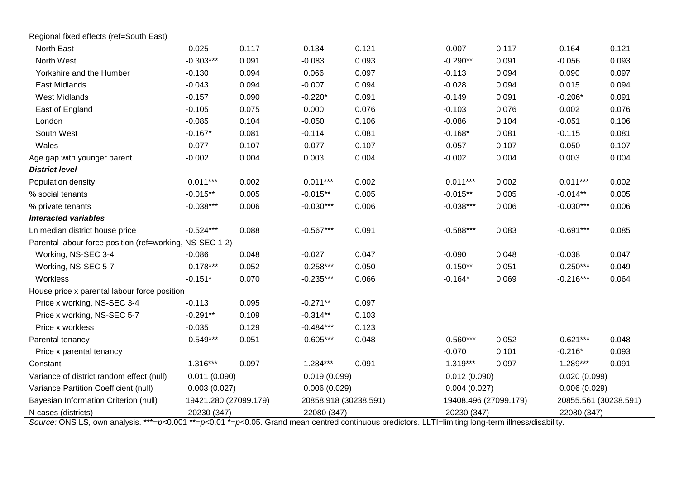Regional fixed effects (ref=South East)

| North East                                                | $-0.025$              | 0.117 | 0.134                 | 0.121 | $-0.007$              | 0.117 | 0.164                 | 0.121 |
|-----------------------------------------------------------|-----------------------|-------|-----------------------|-------|-----------------------|-------|-----------------------|-------|
| North West                                                | $-0.303***$           | 0.091 | $-0.083$              | 0.093 | $-0.290**$            | 0.091 | $-0.056$              | 0.093 |
| Yorkshire and the Humber                                  | $-0.130$              | 0.094 | 0.066                 | 0.097 | $-0.113$              | 0.094 | 0.090                 | 0.097 |
| East Midlands                                             | $-0.043$              | 0.094 | $-0.007$              | 0.094 | $-0.028$              | 0.094 | 0.015                 | 0.094 |
| <b>West Midlands</b>                                      | $-0.157$              | 0.090 | $-0.220*$             | 0.091 | $-0.149$              | 0.091 | $-0.206*$             | 0.091 |
| East of England                                           | $-0.105$              | 0.075 | 0.000                 | 0.076 | $-0.103$              | 0.076 | 0.002                 | 0.076 |
| London                                                    | $-0.085$              | 0.104 | $-0.050$              | 0.106 | $-0.086$              | 0.104 | $-0.051$              | 0.106 |
| South West                                                | $-0.167*$             | 0.081 | $-0.114$              | 0.081 | $-0.168*$             | 0.081 | $-0.115$              | 0.081 |
| Wales                                                     | $-0.077$              | 0.107 | $-0.077$              | 0.107 | $-0.057$              | 0.107 | $-0.050$              | 0.107 |
| Age gap with younger parent                               | $-0.002$              | 0.004 | 0.003                 | 0.004 | $-0.002$              | 0.004 | 0.003                 | 0.004 |
| <b>District level</b>                                     |                       |       |                       |       |                       |       |                       |       |
| Population density                                        | $0.011***$            | 0.002 | $0.011***$            | 0.002 | $0.011***$            | 0.002 | $0.011***$            | 0.002 |
| % social tenants                                          | $-0.015**$            | 0.005 | $-0.015**$            | 0.005 | $-0.015**$            | 0.005 | $-0.014**$            | 0.005 |
| % private tenants                                         | $-0.038***$           | 0.006 | $-0.030***$           | 0.006 | $-0.038***$           | 0.006 | $-0.030***$           | 0.006 |
| <b>Interacted variables</b>                               |                       |       |                       |       |                       |       |                       |       |
| Ln median district house price                            | $-0.524***$           | 0.088 | $-0.567***$           | 0.091 | $-0.588***$           | 0.083 | $-0.691***$           | 0.085 |
| Parental labour force position (ref=working, NS-SEC 1-2)  |                       |       |                       |       |                       |       |                       |       |
| Working, NS-SEC 3-4                                       | $-0.086$              | 0.048 | $-0.027$              | 0.047 | $-0.090$              | 0.048 | $-0.038$              | 0.047 |
| Working, NS-SEC 5-7                                       | $-0.178***$           | 0.052 | $-0.258***$           | 0.050 | $-0.150**$            | 0.051 | $-0.250***$           | 0.049 |
| Workless                                                  | $-0.151*$             | 0.070 | $-0.235***$           | 0.066 | $-0.164*$             | 0.069 | $-0.216***$           | 0.064 |
| House price x parental labour force position              |                       |       |                       |       |                       |       |                       |       |
| Price x working, NS-SEC 3-4                               | $-0.113$              | 0.095 | $-0.271**$            | 0.097 |                       |       |                       |       |
| Price x working, NS-SEC 5-7                               | $-0.291**$            | 0.109 | $-0.314**$            | 0.103 |                       |       |                       |       |
| Price x workless                                          | $-0.035$              | 0.129 | $-0.484***$           | 0.123 |                       |       |                       |       |
| Parental tenancy                                          | $-0.549***$           | 0.051 | $-0.605***$           | 0.048 | $-0.560***$           | 0.052 | $-0.621***$           | 0.048 |
| Price x parental tenancy                                  |                       |       |                       |       | $-0.070$              | 0.101 | $-0.216*$             | 0.093 |
| Constant                                                  | 1.316***              | 0.097 | $1.284***$            | 0.091 | $1.319***$            | 0.097 | 1.289***              | 0.091 |
| 0.011(0.090)<br>Variance of district random effect (null) |                       |       | 0.019(0.099)          |       | 0.012(0.090)          |       | 0.020(0.099)          |       |
| Variance Partition Coefficient (null)                     | 0.003(0.027)          |       | 0.006(0.029)          |       | 0.004(0.027)          |       | 0.006(0.029)          |       |
| Bayesian Information Criterion (null)                     | 19421.280 (27099.179) |       | 20858.918 (30238.591) |       | 19408.496 (27099.179) |       | 20855.561 (30238.591) |       |
| N cases (districts)                                       | 20230 (347)           |       | 22080 (347)           |       | 20230 (347)           |       | 22080 (347)           |       |

*Source:* ONS LS, own analysis. \*\*\*=*p*<0.001 \*\*=*p*<0.01 \*=*p<*0.05. Grand mean centred continuous predictors. LLTI=limiting long-term illness/disability.